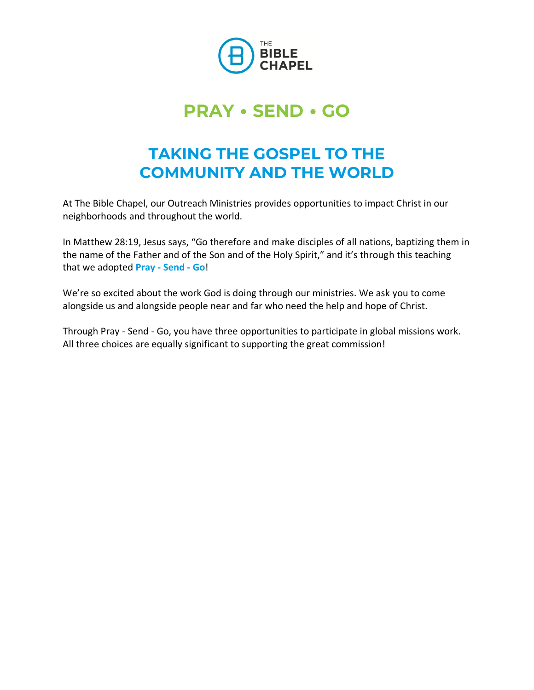

# **PRAY** • **SEND** • **GO**

# **TAKING THE GOSPEL TO THE COMMUNITY AND THE WORLD**

At The Bible Chapel, our Outreach Ministries provides opportunities to impact Christ in our neighborhoods and throughout the world.

In Matthew 28:19, Jesus says, "Go therefore and make disciples of all nations, baptizing them in the name of the Father and of the Son and of the Holy Spirit," and it's through this teaching that we adopted **Pray - Send - Go**!

We're so excited about the work God is doing through our ministries. We ask you to come alongside us and alongside people near and far who need the help and hope of Christ.

Through Pray - Send - Go, you have three opportunities to participate in global missions work. All three choices are equally significant to supporting the great commission!